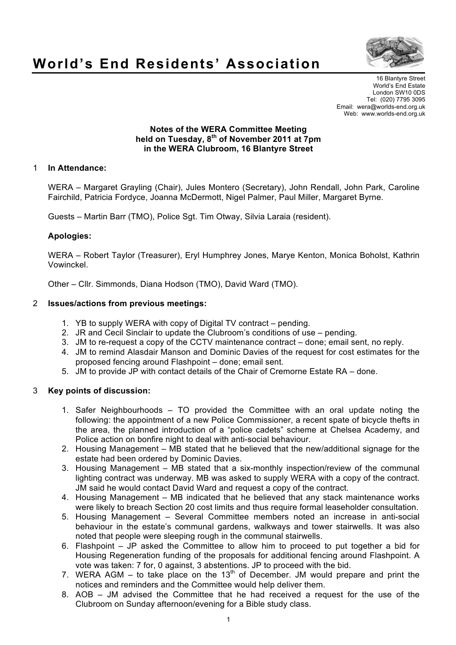

# **World's End Residents' Association**

16 Blantyre Street World's End Estate London SW10 0DS Tel: (020) 7795 3095 Email: wera@worlds-end.org.uk Web: www.worlds-end.org.uk

### **Notes of the WERA Committee Meeting held on Tuesday, 8th of November 2011 at 7pm in the WERA Clubroom, 16 Blantyre Street**

# 1 **In Attendance:**

WERA – Margaret Grayling (Chair), Jules Montero (Secretary), John Rendall, John Park, Caroline Fairchild, Patricia Fordyce, Joanna McDermott, Nigel Palmer, Paul Miller, Margaret Byrne.

Guests – Martin Barr (TMO), Police Sgt. Tim Otway, Silvia Laraia (resident).

## **Apologies:**

WERA – Robert Taylor (Treasurer), Eryl Humphrey Jones, Marye Kenton, Monica Boholst, Kathrin Vowinckel.

Other – Cllr. Simmonds, Diana Hodson (TMO), David Ward (TMO).

#### 2 **Issues/actions from previous meetings:**

- 1. YB to supply WERA with copy of Digital TV contract pending.
- 2. JR and Cecil Sinclair to update the Clubroom's conditions of use pending.
- 3. JM to re-request a copy of the CCTV maintenance contract done; email sent, no reply.
- 4. JM to remind Alasdair Manson and Dominic Davies of the request for cost estimates for the proposed fencing around Flashpoint – done; email sent.
- 5. JM to provide JP with contact details of the Chair of Cremorne Estate RA done.

# 3 **Key points of discussion:**

- 1. Safer Neighbourhoods TO provided the Committee with an oral update noting the following: the appointment of a new Police Commissioner, a recent spate of bicycle thefts in the area, the planned introduction of a "police cadets" scheme at Chelsea Academy, and Police action on bonfire night to deal with anti-social behaviour.
- 2. Housing Management MB stated that he believed that the new/additional signage for the estate had been ordered by Dominic Davies.
- 3. Housing Management MB stated that a six-monthly inspection/review of the communal lighting contract was underway. MB was asked to supply WERA with a copy of the contract. JM said he would contact David Ward and request a copy of the contract.
- 4. Housing Management MB indicated that he believed that any stack maintenance works were likely to breach Section 20 cost limits and thus require formal leaseholder consultation.
- 5. Housing Management Several Committee members noted an increase in anti-social behaviour in the estate's communal gardens, walkways and tower stairwells. It was also noted that people were sleeping rough in the communal stairwells.
- 6. Flashpoint JP asked the Committee to allow him to proceed to put together a bid for Housing Regeneration funding of the proposals for additional fencing around Flashpoint. A vote was taken: 7 for, 0 against, 3 abstentions. JP to proceed with the bid.
- 7. WERA AGM to take place on the  $13<sup>th</sup>$  of December. JM would prepare and print the notices and reminders and the Committee would help deliver them.
- 8. AOB JM advised the Committee that he had received a request for the use of the Clubroom on Sunday afternoon/evening for a Bible study class.